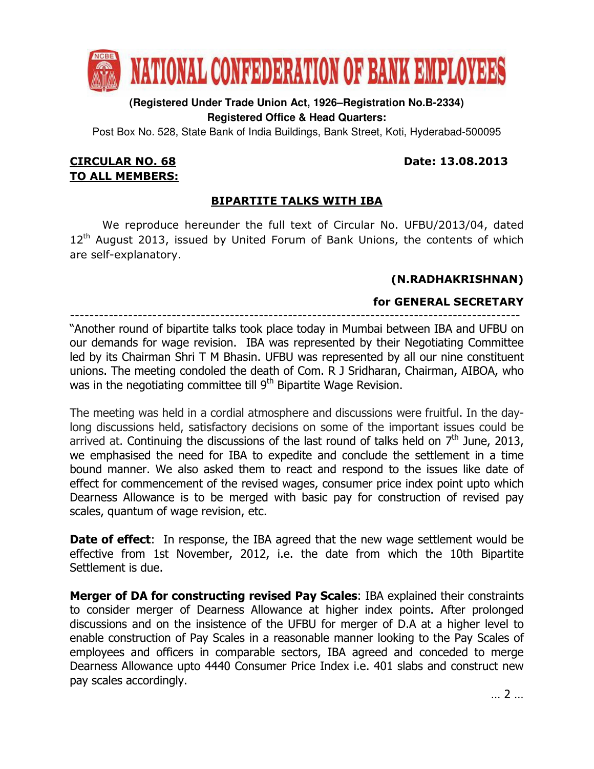

# **(Registered Under Trade Union Act, 1926–Registration No.B-2334) Registered Office & Head Quarters:**

Post Box No. 528, State Bank of India Buildings, Bank Street, Koti, Hyderabad-500095

## CIRCULAR NO. 68 Date: 13.08.2013 TO ALL MEMBERS:

# BIPARTITE TALKS WITH IBA

 We reproduce hereunder the full text of Circular No. UFBU/2013/04, dated 12<sup>th</sup> August 2013, issued by United Forum of Bank Unions, the contents of which are self-explanatory.

# (N.RADHAKRISHNAN)

# for GENERAL SECRETARY

--------------------------------------------------------------------------------------------- "Another round of bipartite talks took place today in Mumbai between IBA and UFBU on our demands for wage revision. IBA was represented by their Negotiating Committee led by its Chairman Shri T M Bhasin. UFBU was represented by all our nine constituent unions. The meeting condoled the death of Com. R J Sridharan, Chairman, AIBOA, who was in the negotiating committee till 9<sup>th</sup> Bipartite Wage Revision.

The meeting was held in a cordial atmosphere and discussions were fruitful. In the daylong discussions held, satisfactory decisions on some of the important issues could be arrived at. Continuing the discussions of the last round of talks held on  $7<sup>th</sup>$  June, 2013, we emphasised the need for IBA to expedite and conclude the settlement in a time bound manner. We also asked them to react and respond to the issues like date of effect for commencement of the revised wages, consumer price index point upto which Dearness Allowance is to be merged with basic pay for construction of revised pay scales, quantum of wage revision, etc.

**Date of effect:** In response, the IBA agreed that the new wage settlement would be effective from 1st November, 2012, i.e. the date from which the 10th Bipartite Settlement is due.

Merger of DA for constructing revised Pay Scales: IBA explained their constraints to consider merger of Dearness Allowance at higher index points. After prolonged discussions and on the insistence of the UFBU for merger of D.A at a higher level to enable construction of Pay Scales in a reasonable manner looking to the Pay Scales of employees and officers in comparable sectors, IBA agreed and conceded to merge Dearness Allowance upto 4440 Consumer Price Index i.e. 401 slabs and construct new pay scales accordingly.